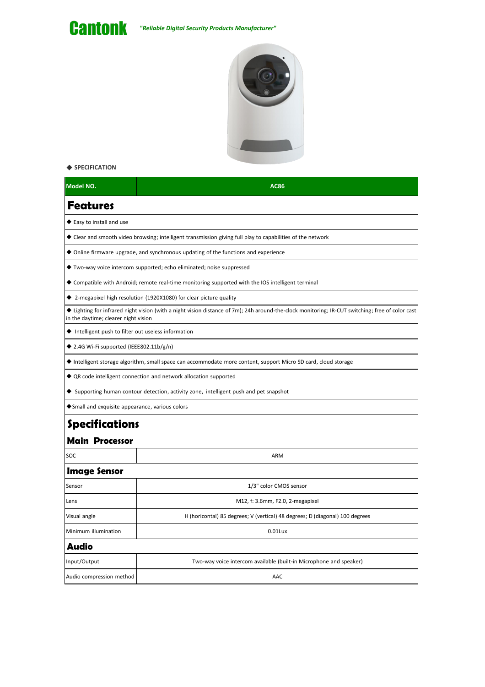

## ◆ **SPECIFICATION**

| Model NO.                                                                                                   | <b>AC86</b>                                                                                                                                      |
|-------------------------------------------------------------------------------------------------------------|--------------------------------------------------------------------------------------------------------------------------------------------------|
| <b>Features</b>                                                                                             |                                                                                                                                                  |
| ♦ Easy to install and use                                                                                   |                                                                                                                                                  |
| ◆ Clear and smooth video browsing; intelligent transmission giving full play to capabilities of the network |                                                                                                                                                  |
| $\blacklozenge$ Online firmware upgrade, and synchronous updating of the functions and experience           |                                                                                                                                                  |
| ◆ Two-way voice intercom supported; echo eliminated; noise suppressed                                       |                                                                                                                                                  |
| ◆ Compatible with Android; remote real-time monitoring supported with the IOS intelligent terminal          |                                                                                                                                                  |
|                                                                                                             | ◆ 2-megapixel high resolution (1920X1080) for clear picture quality                                                                              |
| in the daytime; clearer night vision                                                                        | ◆ Lighting for infrared night vision (with a night vision distance of 7m); 24h around-the-clock monitoring; IR-CUT switching; free of color cast |
| ♦ Intelligent push to filter out useless information                                                        |                                                                                                                                                  |
| ◆ 2.4G Wi-Fi supported (IEEE802.11b/g/n)                                                                    |                                                                                                                                                  |
|                                                                                                             | ◆ Intelligent storage algorithm, small space can accommodate more content, support Micro SD card, cloud storage                                  |
|                                                                                                             | ♦ QR code intelligent connection and network allocation supported                                                                                |
| ◆ Supporting human contour detection, activity zone, intelligent push and pet snapshot                      |                                                                                                                                                  |
| ◆ Small and exquisite appearance, various colors                                                            |                                                                                                                                                  |
| <b>Specifications</b>                                                                                       |                                                                                                                                                  |
| <b>Main Processor</b>                                                                                       |                                                                                                                                                  |
| SOC                                                                                                         | ARM                                                                                                                                              |
| <b>Image Sensor</b>                                                                                         |                                                                                                                                                  |
| Sensor                                                                                                      | 1/3" color CMOS sensor                                                                                                                           |
| Lens                                                                                                        | M12, f: 3.6mm, F2.0, 2-megapixel                                                                                                                 |
| Visual angle                                                                                                | H (horizontal) 85 degrees; V (vertical) 48 degrees; D (diagonal) 100 degrees                                                                     |
| Minimum illumination                                                                                        | $0.01$ Lux                                                                                                                                       |
| <b>Audio</b>                                                                                                |                                                                                                                                                  |
| Input/Output                                                                                                | Two-way voice intercom available (built-in Microphone and speaker)                                                                               |
| Audio compression method                                                                                    | AAC                                                                                                                                              |